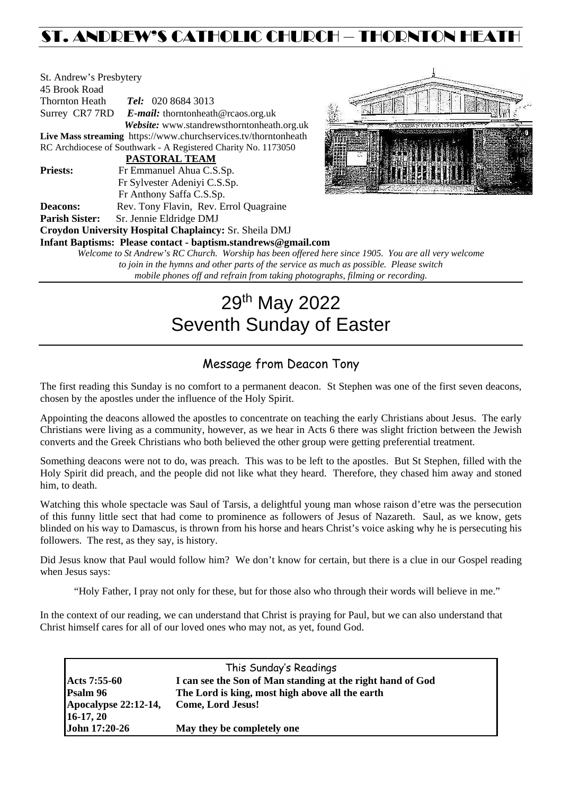## ST. ANDREW'S CATHOLIC CHURCH – THORNTON HEATH

| St. Andrew's Presbytery |                                                                    |  |  |  |  |  |
|-------------------------|--------------------------------------------------------------------|--|--|--|--|--|
| 45 Brook Road           |                                                                    |  |  |  |  |  |
| <b>Thornton Heath</b>   | <b>Tel:</b> 020 8684 3013                                          |  |  |  |  |  |
|                         | Surrey CR7 7RD E-mail: thorntonheath@rcaos.org.uk                  |  |  |  |  |  |
|                         | Website: www.standrewsthorntonheath.org.uk                         |  |  |  |  |  |
|                         | Live Mass streaming https://www.churchservices.tv/thorntonheath    |  |  |  |  |  |
|                         | RC Archdiocese of Southwark - A Registered Charity No. 1173050     |  |  |  |  |  |
|                         | <b>PASTORAL TEAM</b>                                               |  |  |  |  |  |
| <b>Priests:</b>         | Fr Emmanuel Ahua C.S.Sp.                                           |  |  |  |  |  |
|                         | Fr Sylvester Adeniyi C.S.Sp.                                       |  |  |  |  |  |
|                         | Fr Anthony Saffa C.S.Sp.                                           |  |  |  |  |  |
| <b>Deacons:</b>         | Rev. Tony Flavin, Rev. Errol Quagraine                             |  |  |  |  |  |
| <b>Parish Sister:</b>   | Sr. Jennie Eldridge DMJ                                            |  |  |  |  |  |
|                         | Croydon University Hospital Chaplaincy: Sr. Sheila DMJ             |  |  |  |  |  |
|                         | Infant Baptisms: Please contact - baptism.standrews@gmail.com      |  |  |  |  |  |
|                         | Welcome to St Andrew's RC Church. Worship has been offered here si |  |  |  |  |  |
|                         |                                                                    |  |  |  |  |  |



*Welcome to St Andrew's RC Church. Worship has been offered here since 1905. You are all very welcome to join in the hymns and other parts of the service as much as possible. Please switch mobile phones off and refrain from taking photographs, filming or recording.*

# 29th May 2022 Seventh Sunday of Easter

## Message from Deacon Tony

The first reading this Sunday is no comfort to a permanent deacon. St Stephen was one of the first seven deacons, chosen by the apostles under the influence of the Holy Spirit.

Appointing the deacons allowed the apostles to concentrate on teaching the early Christians about Jesus. The early Christians were living as a community, however, as we hear in Acts 6 there was slight friction between the Jewish converts and the Greek Christians who both believed the other group were getting preferential treatment.

Something deacons were not to do, was preach. This was to be left to the apostles. But St Stephen, filled with the Holy Spirit did preach, and the people did not like what they heard. Therefore, they chased him away and stoned him, to death.

Watching this whole spectacle was Saul of Tarsis, a delightful young man whose raison d'etre was the persecution of this funny little sect that had come to prominence as followers of Jesus of Nazareth. Saul, as we know, gets blinded on his way to Damascus, is thrown from his horse and hears Christ's voice asking why he is persecuting his followers. The rest, as they say, is history.

Did Jesus know that Paul would follow him? We don't know for certain, but there is a clue in our Gospel reading when Jesus says:

"Holy Father, I pray not only for these, but for those also who through their words will believe in me."

In the context of our reading, we can understand that Christ is praying for Paul, but we can also understand that Christ himself cares for all of our loved ones who may not, as yet, found God.

| This Sunday's Readings |                                                            |  |  |  |
|------------------------|------------------------------------------------------------|--|--|--|
| Acts 7:55-60           | I can see the Son of Man standing at the right hand of God |  |  |  |
| Psalm 96               | The Lord is king, most high above all the earth            |  |  |  |
| Apocalypse 22:12-14,   | <b>Come, Lord Jesus!</b>                                   |  |  |  |
| $16-17, 20$            |                                                            |  |  |  |
| John 17:20-26          | May they be completely one                                 |  |  |  |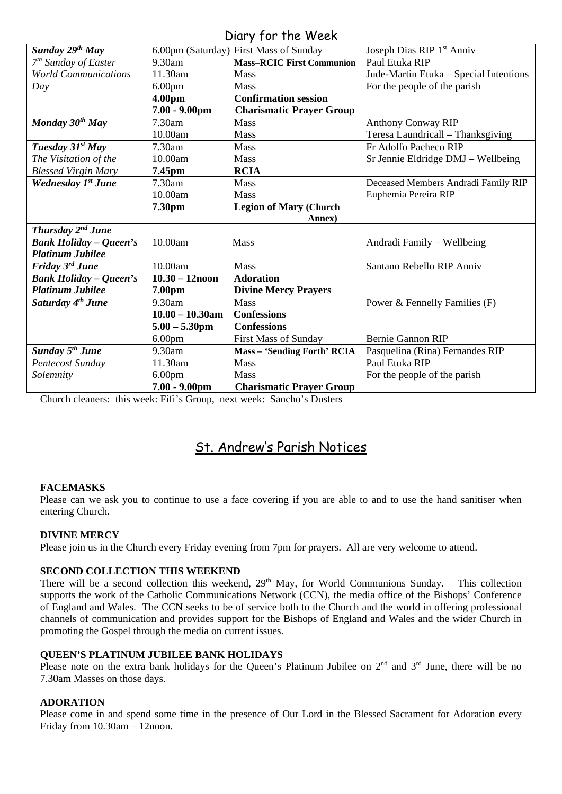### Diary for the Week

| UNIY JUI IIIE WEEN                |                    |                                        |                                        |  |  |
|-----------------------------------|--------------------|----------------------------------------|----------------------------------------|--|--|
| Sunday 29 <sup>th</sup> May       |                    | 6.00pm (Saturday) First Mass of Sunday | Joseph Dias RIP 1 <sup>st</sup> Anniv  |  |  |
| $7th$ Sunday of Easter            | $9.30$ am          | <b>Mass-RCIC First Communion</b>       | Paul Etuka RIP                         |  |  |
| <b>World Communications</b>       | 11.30am            | <b>Mass</b>                            | Jude-Martin Etuka - Special Intentions |  |  |
| Day                               | 6.00 <sub>pm</sub> | <b>Mass</b>                            | For the people of the parish           |  |  |
|                                   | 4.00pm             | <b>Confirmation session</b>            |                                        |  |  |
|                                   | $7.00 - 9.00$ pm   | <b>Charismatic Prayer Group</b>        |                                        |  |  |
| Monday 30 <sup>th</sup> May       | 7.30am             | Mass                                   | <b>Anthony Conway RIP</b>              |  |  |
|                                   | 10.00am            | Mass                                   | Teresa Laundricall - Thanksgiving      |  |  |
| Tuesday 31 <sup>st</sup> May      | 7.30am             | Mass                                   | Fr Adolfo Pacheco RIP                  |  |  |
| The Visitation of the             | 10.00am            | <b>Mass</b>                            | Sr Jennie Eldridge DMJ - Wellbeing     |  |  |
| <b>Blessed Virgin Mary</b>        | 7.45pm             | <b>RCIA</b>                            |                                        |  |  |
| Wednesday 1 <sup>st</sup> June    | 7.30am             | <b>Mass</b>                            | Deceased Members Andradi Family RIP    |  |  |
|                                   | 10.00am            | <b>Mass</b>                            | Euphemia Pereira RIP                   |  |  |
|                                   | 7.30pm             | <b>Legion of Mary (Church</b>          |                                        |  |  |
|                                   |                    | Annex)                                 |                                        |  |  |
| Thursday 2 <sup>nd</sup> June     |                    |                                        |                                        |  |  |
| <b>Bank Holiday - Queen's</b>     | 10.00am            | Mass                                   | Andradi Family – Wellbeing             |  |  |
| <b>Platinum Jubilee</b>           |                    |                                        |                                        |  |  |
| Friday 3rd June                   | 10.00am            | <b>Mass</b>                            | Santano Rebello RIP Anniv              |  |  |
| <b>Bank Holiday - Queen's</b>     | $10.30 - 12$ noon  | <b>Adoration</b>                       |                                        |  |  |
| <b>Platinum Jubilee</b>           | 7.00pm             | <b>Divine Mercy Prayers</b>            |                                        |  |  |
| Saturday 4 <sup>th</sup> June     | 9.30am             | Mass                                   | Power & Fennelly Families (F)          |  |  |
|                                   | $10.00 - 10.30$ am | <b>Confessions</b>                     |                                        |  |  |
|                                   | $5.00 - 5.30$ pm   | <b>Confessions</b>                     |                                        |  |  |
|                                   | 6.00 <sub>pm</sub> | <b>First Mass of Sunday</b>            | <b>Bernie Gannon RIP</b>               |  |  |
| <b>Sunday 5<sup>th</sup> June</b> | 9.30am             | <b>Mass - 'Sending Forth' RCIA</b>     | Pasquelina (Rina) Fernandes RIP        |  |  |
| Pentecost Sunday                  | 11.30am            | <b>Mass</b>                            | Paul Etuka RIP                         |  |  |
| Solemnity                         | 6.00 <sub>pm</sub> | <b>Mass</b>                            | For the people of the parish           |  |  |
|                                   | $7.00 - 9.00$ pm   | <b>Charismatic Prayer Group</b>        |                                        |  |  |

Church cleaners: this week: Fifi's Group, next week: Sancho's Dusters

## St. Andrew's Parish Notices

#### **FACEMASKS**

Please can we ask you to continue to use a face covering if you are able to and to use the hand sanitiser when entering Church.

#### **DIVINE MERCY**

Please join us in the Church every Friday evening from 7pm for prayers. All are very welcome to attend.

#### **SECOND COLLECTION THIS WEEKEND**

There will be a second collection this weekend, 29<sup>th</sup> May, for World Communions Sunday. This collection supports the work of the Catholic Communications Network (CCN), the media office of the Bishops' Conference of England and Wales. The CCN seeks to be of service both to the Church and the world in offering professional channels of communication and provides support for the Bishops of England and Wales and the wider Church in promoting the Gospel through the media on current issues.

#### **QUEEN'S PLATINUM JUBILEE BANK HOLIDAYS**

Please note on the extra bank holidays for the Queen's Platinum Jubilee on 2<sup>nd</sup> and 3<sup>rd</sup> June, there will be no 7.30am Masses on those days.

#### **ADORATION**

Please come in and spend some time in the presence of Our Lord in the Blessed Sacrament for Adoration every Friday from 10.30am – 12noon.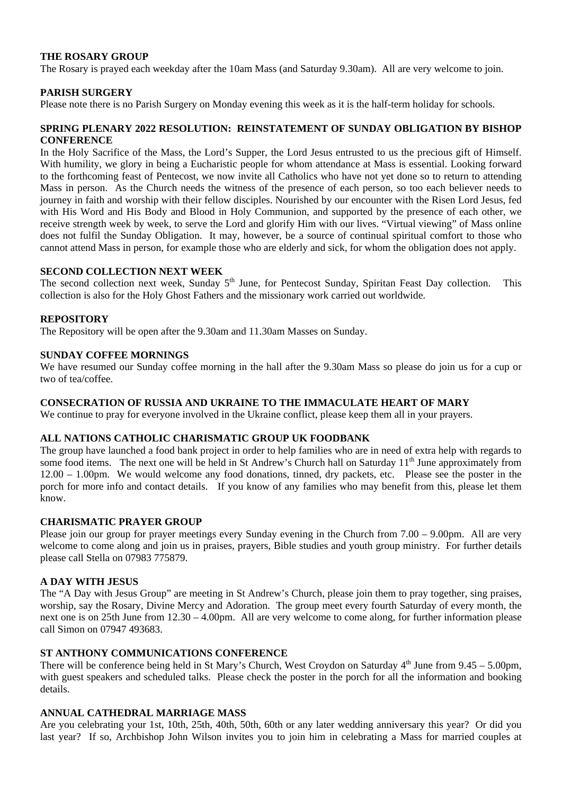#### **THE ROSARY GROUP**

The Rosary is prayed each weekday after the 10am Mass (and Saturday 9.30am). All are very welcome to join.

#### **PARISH SURGERY**

Please note there is no Parish Surgery on Monday evening this week as it is the half-term holiday for schools.

#### **SPRING PLENARY 2022 RESOLUTION: REINSTATEMENT OF SUNDAY OBLIGATION BY BISHOP CONFERENCE**

In the Holy Sacrifice of the Mass, the Lord's Supper, the Lord Jesus entrusted to us the precious gift of Himself. With humility, we glory in being a Eucharistic people for whom attendance at Mass is essential. Looking forward to the forthcoming feast of Pentecost, we now invite all Catholics who have not yet done so to return to attending Mass in person. As the Church needs the witness of the presence of each person, so too each believer needs to journey in faith and worship with their fellow disciples. Nourished by our encounter with the Risen Lord Jesus, fed with His Word and His Body and Blood in Holy Communion, and supported by the presence of each other, we receive strength week by week, to serve the Lord and glorify Him with our lives. "Virtual viewing" of Mass online does not fulfil the Sunday Obligation. It may, however, be a source of continual spiritual comfort to those who cannot attend Mass in person, for example those who are elderly and sick, for whom the obligation does not apply.

#### **SECOND COLLECTION NEXT WEEK**

The second collection next week, Sunday 5<sup>th</sup> June, for Pentecost Sunday, Spiritan Feast Day collection. This collection is also for the Holy Ghost Fathers and the missionary work carried out worldwide.

#### **REPOSITORY**

The Repository will be open after the 9.30am and 11.30am Masses on Sunday.

#### **SUNDAY COFFEE MORNINGS**

We have resumed our Sunday coffee morning in the hall after the 9.30am Mass so please do join us for a cup or two of tea/coffee.

#### **CONSECRATION OF RUSSIA AND UKRAINE TO THE IMMACULATE HEART OF MARY**

We continue to pray for everyone involved in the Ukraine conflict, please keep them all in your prayers.

#### **ALL NATIONS CATHOLIC CHARISMATIC GROUP UK FOODBANK**

The group have launched a food bank project in order to help families who are in need of extra help with regards to some food items. The next one will be held in St Andrew's Church hall on Saturday 11<sup>th</sup> June approximately from 12.00 – 1.00pm. We would welcome any food donations, tinned, dry packets, etc. Please see the poster in the porch for more info and contact details. If you know of any families who may benefit from this, please let them know.

#### **CHARISMATIC PRAYER GROUP**

Please join our group for prayer meetings every Sunday evening in the Church from 7.00 – 9.00pm. All are very welcome to come along and join us in praises, prayers, Bible studies and youth group ministry. For further details please call Stella on 07983 775879.

#### **A DAY WITH JESUS**

The "A Day with Jesus Group" are meeting in St Andrew's Church, please join them to pray together, sing praises, worship, say the Rosary, Divine Mercy and Adoration. The group meet every fourth Saturday of every month, the next one is on 25th June from 12.30 – 4.00pm. All are very welcome to come along, for further information please call Simon on 07947 493683.

#### **ST ANTHONY COMMUNICATIONS CONFERENCE**

There will be conference being held in St Mary's Church, West Croydon on Saturday  $4<sup>th</sup>$  June from  $9.45 - 5.00$ pm, with guest speakers and scheduled talks. Please check the poster in the porch for all the information and booking details.

#### **ANNUAL CATHEDRAL MARRIAGE MASS**

Are you celebrating your 1st, 10th, 25th, 40th, 50th, 60th or any later wedding anniversary this year? Or did you last year? If so, Archbishop John Wilson invites you to join him in celebrating a Mass for married couples at